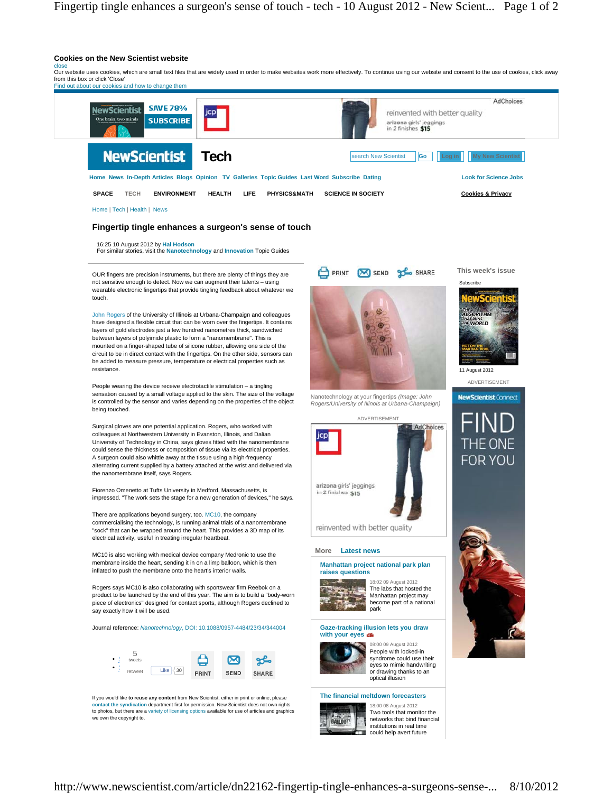

There are applications beyond surgery, too. MC10, the company commercialising the technology, is running animal trials of a nanomembrane "sock" that can be wrapped around the heart. This provides a 3D map of its electrical activity, useful in treating irregular heartbeat.

MC10 is also working with medical device company Medronic to use the membrane inside the heart, sending it in on a limp balloon, which is then inflated to push the membrane onto the heart's interior walls.

Rogers says MC10 is also collaborating with sportswear firm Reebok on a product to be launched by the end of this year. The aim is to build a "body-worn piece of electronics" designed for contact sports, although Rogers declined to say exactly how it will be used.

Journal reference: *Nanotechnology*, DOI: 10.1088/0957-4484/23/34/344004



If you would like **to reuse any content** from New Scientist, either in print or online, please **contact the syndication** department first for permission. New Scientist does not own rights to photos, but there are a variety of licensing options available for use of articles and graphics we own the copyright to.

reinvented with better quality

#### **More Latest news**

**Manhattan project national park plan raises questions** 18:02 09 August 2012



The labs that hosted the Manhattan project may become part of a national park



08:00 09 August 2012

People with locked-in syndrome could use their eyes to mimic handwriting or drawing thanks to an optical illusion

### **The financial meltdown forecasters**



Two tools that monitor the networks that bind financial institutions in real time could help avert future